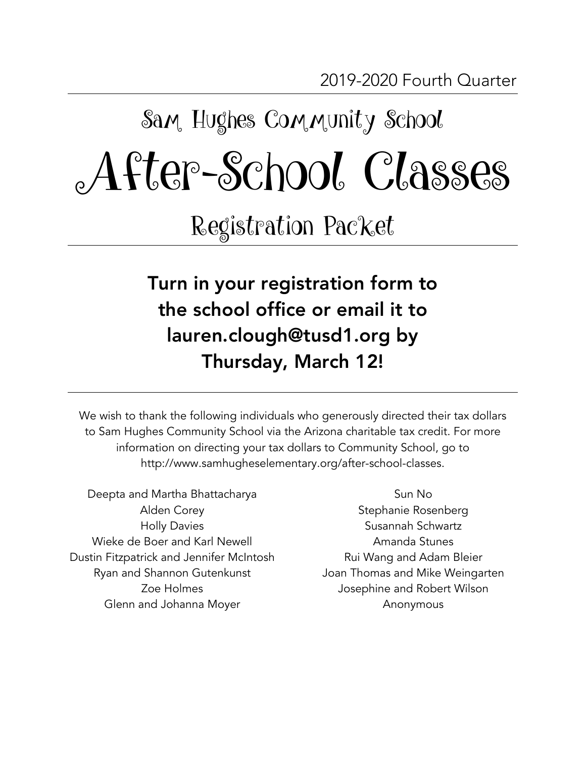# Sam Hughes Community School After-School Classes

Registration Packet

Turn in your registration form to the school office or email it to lauren.clough@tusd1.org by Thursday, March 12!

We wish to thank the following individuals who generously directed their tax dollars to Sam Hughes Community School via the Arizona charitable tax credit. For more information on directing your tax dollars to Community School, go to http://www.samhugheselementary.org/after-school-classes.

- Deepta and Martha Bhattacharya Alden Corey Holly Davies Wieke de Boer and Karl Newell Dustin Fitzpatrick and Jennifer McIntosh Ryan and Shannon Gutenkunst Zoe Holmes Glenn and Johanna Moyer
- Sun No Stephanie Rosenberg Susannah Schwartz Amanda Stunes Rui Wang and Adam Bleier Joan Thomas and Mike Weingarten Josephine and Robert Wilson Anonymous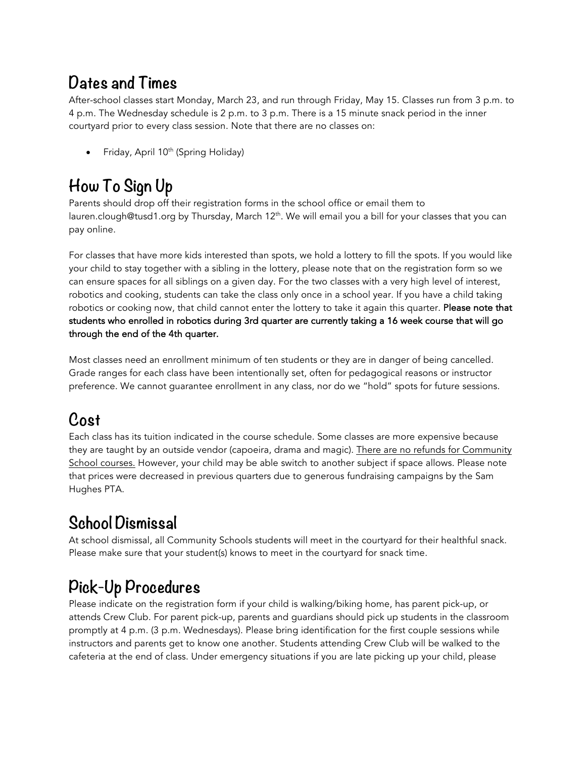### **Dates and Times**

After-school classes start Monday, March 23, and run through Friday, May 15. Classes run from 3 p.m. to 4 p.m. The Wednesday schedule is 2 p.m. to 3 p.m. There is a 15 minute snack period in the inner courtyard prior to every class session. Note that there are no classes on:

• Friday, April 10<sup>th</sup> (Spring Holiday)

## **How To Sign Up**

Parents should drop off their registration forms in the school office or email them to lauren.clough@tusd1.org by Thursday, March 12<sup>th</sup>. We will email you a bill for your classes that you can pay online.

For classes that have more kids interested than spots, we hold a lottery to fill the spots. If you would like your child to stay together with a sibling in the lottery, please note that on the registration form so we can ensure spaces for all siblings on a given day. For the two classes with a very high level of interest, robotics and cooking, students can take the class only once in a school year. If you have a child taking robotics or cooking now, that child cannot enter the lottery to take it again this quarter. Please note that students who enrolled in robotics during 3rd quarter are currently taking a 16 week course that will go through the end of the 4th quarter.

Most classes need an enrollment minimum of ten students or they are in danger of being cancelled. Grade ranges for each class have been intentionally set, often for pedagogical reasons or instructor preference. We cannot guarantee enrollment in any class, nor do we "hold" spots for future sessions.

#### **Cost**

Each class has its tuition indicated in the course schedule. Some classes are more expensive because they are taught by an outside vendor (capoeira, drama and magic). There are no refunds for Community School courses. However, your child may be able switch to another subject if space allows. Please note that prices were decreased in previous quarters due to generous fundraising campaigns by the Sam Hughes PTA.

#### **School Dismissal**

At school dismissal, all Community Schools students will meet in the courtyard for their healthful snack. Please make sure that your student(s) knows to meet in the courtyard for snack time.

## **Pick-Up Procedures**

Please indicate on the registration form if your child is walking/biking home, has parent pick-up, or attends Crew Club. For parent pick-up, parents and guardians should pick up students in the classroom promptly at 4 p.m. (3 p.m. Wednesdays). Please bring identification for the first couple sessions while instructors and parents get to know one another. Students attending Crew Club will be walked to the cafeteria at the end of class. Under emergency situations if you are late picking up your child, please